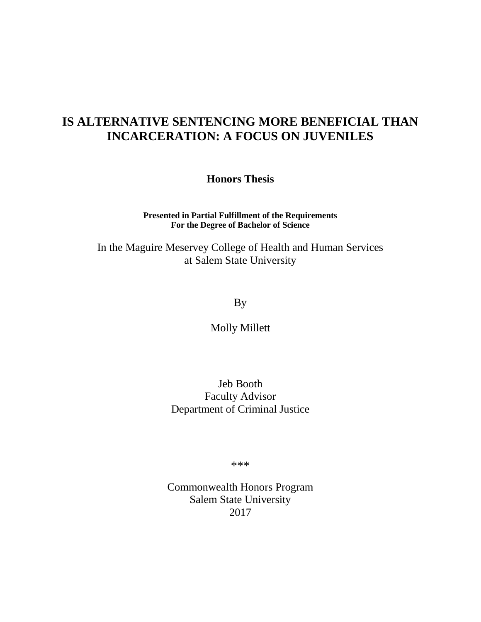# **IS ALTERNATIVE SENTENCING MORE BENEFICIAL THAN INCARCERATION: A FOCUS ON JUVENILES**

**Honors Thesis**

**Presented in Partial Fulfillment of the Requirements For the Degree of Bachelor of Science**

In the Maguire Meservey College of Health and Human Services at Salem State University

By

Molly Millett

Jeb Booth Faculty Advisor Department of Criminal Justice

\*\*\*

Commonwealth Honors Program Salem State University 2017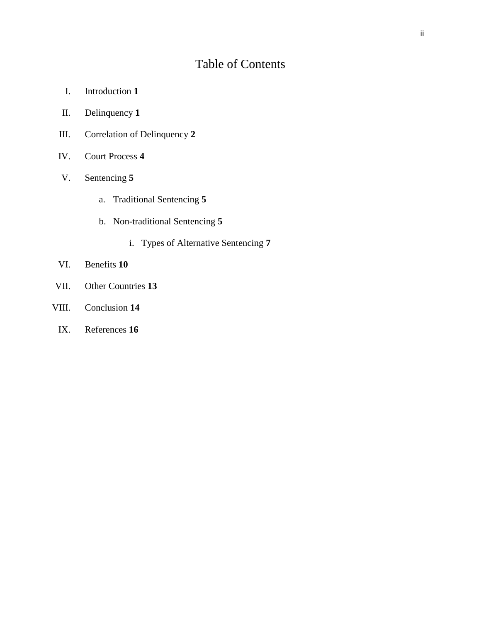# Table of Contents

- I. Introduction **1**
- II. Delinquency **1**
- III. Correlation of Delinquency **2**
- IV. Court Process **4**
- V. Sentencing **5**
	- a. Traditional Sentencing **5**
	- b. Non-traditional Sentencing **5**
		- i. Types of Alternative Sentencing **7**
- VI. Benefits **10**
- VII. Other Countries **13**
- VIII. Conclusion **14**
	- IX. References **16**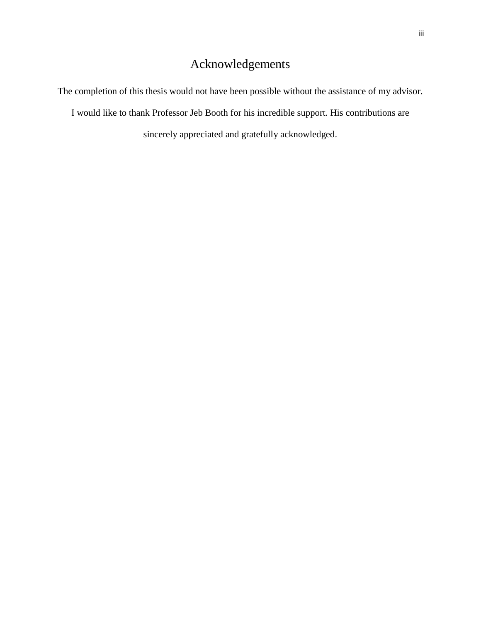# Acknowledgements

The completion of this thesis would not have been possible without the assistance of my advisor.

I would like to thank Professor Jeb Booth for his incredible support. His contributions are

sincerely appreciated and gratefully acknowledged.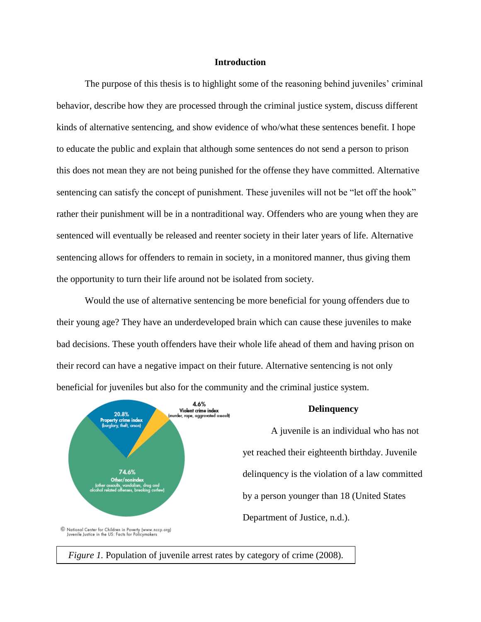### **Introduction**

The purpose of this thesis is to highlight some of the reasoning behind juveniles' criminal behavior, describe how they are processed through the criminal justice system, discuss different kinds of alternative sentencing, and show evidence of who/what these sentences benefit. I hope to educate the public and explain that although some sentences do not send a person to prison this does not mean they are not being punished for the offense they have committed. Alternative sentencing can satisfy the concept of punishment. These juveniles will not be "let off the hook" rather their punishment will be in a nontraditional way. Offenders who are young when they are sentenced will eventually be released and reenter society in their later years of life. Alternative sentencing allows for offenders to remain in society, in a monitored manner, thus giving them the opportunity to turn their life around not be isolated from society.

Would the use of alternative sentencing be more beneficial for young offenders due to their young age? They have an underdeveloped brain which can cause these juveniles to make bad decisions. These youth offenders have their whole life ahead of them and having prison on their record can have a negative impact on their future. Alternative sentencing is not only beneficial for juveniles but also for the community and the criminal justice system.



© National Center for Children in Poverty (www.nccp.org)<br>Juvenile Justice in the US: Facts for Policymakers

*Figure 1.* Population of juvenile arrest rates by category of crime (2008).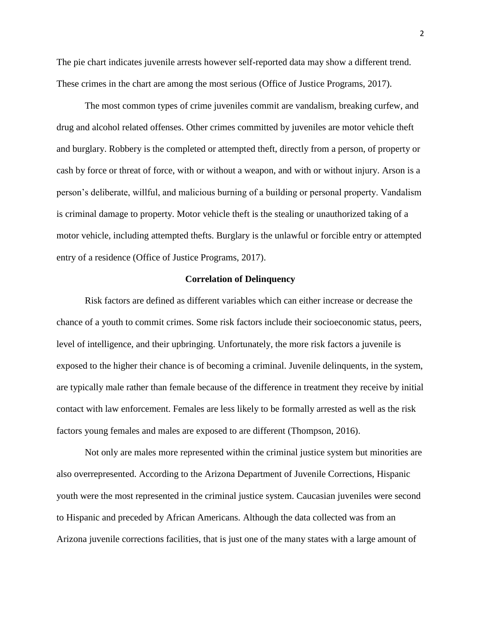The pie chart indicates juvenile arrests however self-reported data may show a different trend. These crimes in the chart are among the most serious (Office of Justice Programs, 2017).

The most common types of crime juveniles commit are vandalism, breaking curfew, and drug and alcohol related offenses. Other crimes committed by juveniles are motor vehicle theft and burglary. Robbery is the completed or attempted theft, directly from a person, of property or cash by force or threat of force, with or without a weapon, and with or without injury. Arson is a person's deliberate, willful, and malicious burning of a building or personal property. Vandalism is criminal damage to property. Motor vehicle theft is the stealing or unauthorized taking of a motor vehicle, including attempted thefts. Burglary is the unlawful or forcible entry or attempted entry of a residence (Office of Justice Programs, 2017).

#### **Correlation of Delinquency**

Risk factors are defined as different variables which can either increase or decrease the chance of a youth to commit crimes. Some risk factors include their socioeconomic status, peers, level of intelligence, and their upbringing. Unfortunately, the more risk factors a juvenile is exposed to the higher their chance is of becoming a criminal. Juvenile delinquents, in the system, are typically male rather than female because of the difference in treatment they receive by initial contact with law enforcement. Females are less likely to be formally arrested as well as the risk factors young females and males are exposed to are different (Thompson, 2016).

Not only are males more represented within the criminal justice system but minorities are also overrepresented. According to the Arizona Department of Juvenile Corrections, Hispanic youth were the most represented in the criminal justice system. Caucasian juveniles were second to Hispanic and preceded by African Americans. Although the data collected was from an Arizona juvenile corrections facilities, that is just one of the many states with a large amount of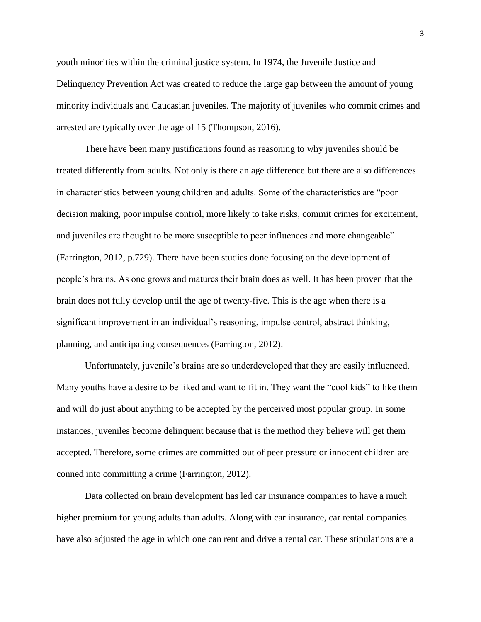youth minorities within the criminal justice system. In 1974, the Juvenile Justice and Delinquency Prevention Act was created to reduce the large gap between the amount of young minority individuals and Caucasian juveniles. The majority of juveniles who commit crimes and arrested are typically over the age of 15 (Thompson, 2016).

There have been many justifications found as reasoning to why juveniles should be treated differently from adults. Not only is there an age difference but there are also differences in characteristics between young children and adults. Some of the characteristics are "poor decision making, poor impulse control, more likely to take risks, commit crimes for excitement, and juveniles are thought to be more susceptible to peer influences and more changeable" (Farrington, 2012, p.729). There have been studies done focusing on the development of people's brains. As one grows and matures their brain does as well. It has been proven that the brain does not fully develop until the age of twenty-five. This is the age when there is a significant improvement in an individual's reasoning, impulse control, abstract thinking, planning, and anticipating consequences (Farrington, 2012).

Unfortunately, juvenile's brains are so underdeveloped that they are easily influenced. Many youths have a desire to be liked and want to fit in. They want the "cool kids" to like them and will do just about anything to be accepted by the perceived most popular group. In some instances, juveniles become delinquent because that is the method they believe will get them accepted. Therefore, some crimes are committed out of peer pressure or innocent children are conned into committing a crime (Farrington, 2012).

Data collected on brain development has led car insurance companies to have a much higher premium for young adults than adults. Along with car insurance, car rental companies have also adjusted the age in which one can rent and drive a rental car. These stipulations are a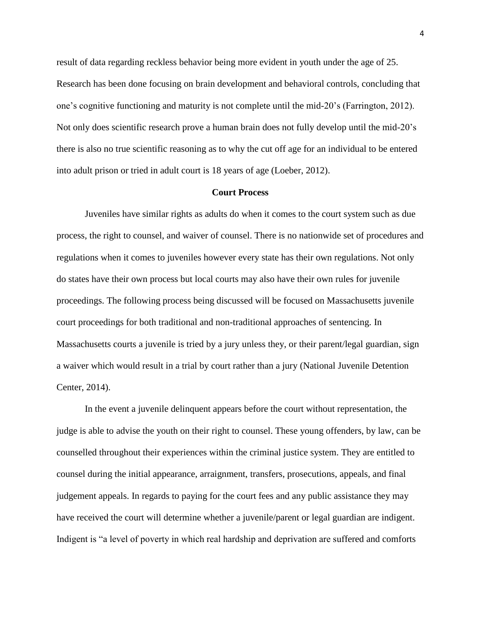result of data regarding reckless behavior being more evident in youth under the age of 25. Research has been done focusing on brain development and behavioral controls, concluding that one's cognitive functioning and maturity is not complete until the mid-20's (Farrington, 2012). Not only does scientific research prove a human brain does not fully develop until the mid-20's there is also no true scientific reasoning as to why the cut off age for an individual to be entered into adult prison or tried in adult court is 18 years of age (Loeber, 2012).

# **Court Process**

Juveniles have similar rights as adults do when it comes to the court system such as due process, the right to counsel, and waiver of counsel. There is no nationwide set of procedures and regulations when it comes to juveniles however every state has their own regulations. Not only do states have their own process but local courts may also have their own rules for juvenile proceedings. The following process being discussed will be focused on Massachusetts juvenile court proceedings for both traditional and non-traditional approaches of sentencing. In Massachusetts courts a juvenile is tried by a jury unless they, or their parent/legal guardian, sign a waiver which would result in a trial by court rather than a jury (National Juvenile Detention Center, 2014).

In the event a juvenile delinquent appears before the court without representation, the judge is able to advise the youth on their right to counsel. These young offenders, by law, can be counselled throughout their experiences within the criminal justice system. They are entitled to counsel during the initial appearance, arraignment, transfers, prosecutions, appeals, and final judgement appeals. In regards to paying for the court fees and any public assistance they may have received the court will determine whether a juvenile/parent or legal guardian are indigent. Indigent is "a level of poverty in which real hardship and deprivation are suffered and comforts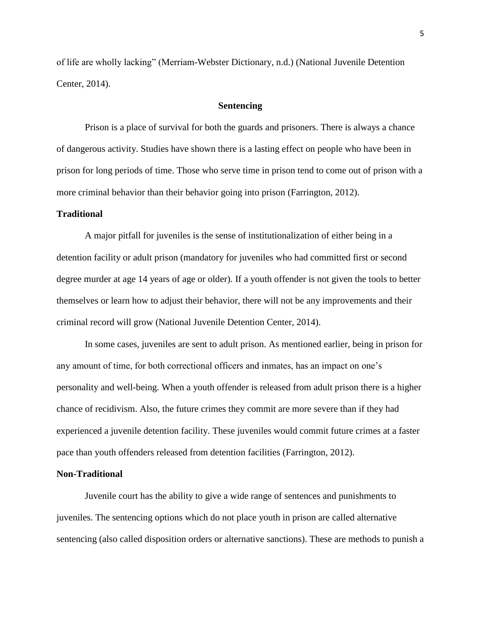of life are wholly lacking" (Merriam-Webster Dictionary, n.d.) (National Juvenile Detention Center, 2014).

# **Sentencing**

Prison is a place of survival for both the guards and prisoners. There is always a chance of dangerous activity. Studies have shown there is a lasting effect on people who have been in prison for long periods of time. Those who serve time in prison tend to come out of prison with a more criminal behavior than their behavior going into prison (Farrington, 2012).

### **Traditional**

A major pitfall for juveniles is the sense of institutionalization of either being in a detention facility or adult prison (mandatory for juveniles who had committed first or second degree murder at age 14 years of age or older). If a youth offender is not given the tools to better themselves or learn how to adjust their behavior, there will not be any improvements and their criminal record will grow (National Juvenile Detention Center, 2014).

In some cases, juveniles are sent to adult prison. As mentioned earlier, being in prison for any amount of time, for both correctional officers and inmates, has an impact on one's personality and well-being. When a youth offender is released from adult prison there is a higher chance of recidivism. Also, the future crimes they commit are more severe than if they had experienced a juvenile detention facility. These juveniles would commit future crimes at a faster pace than youth offenders released from detention facilities (Farrington, 2012).

#### **Non-Traditional**

Juvenile court has the ability to give a wide range of sentences and punishments to juveniles. The sentencing options which do not place youth in prison are called alternative sentencing (also called disposition orders or alternative sanctions). These are methods to punish a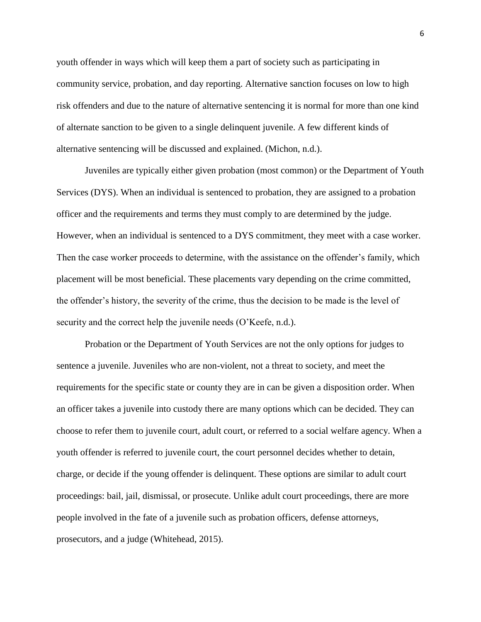youth offender in ways which will keep them a part of society such as participating in community service, probation, and day reporting. Alternative sanction focuses on low to high risk offenders and due to the nature of alternative sentencing it is normal for more than one kind of alternate sanction to be given to a single delinquent juvenile. A few different kinds of alternative sentencing will be discussed and explained. (Michon, n.d.).

Juveniles are typically either given probation (most common) or the Department of Youth Services (DYS). When an individual is sentenced to probation, they are assigned to a probation officer and the requirements and terms they must comply to are determined by the judge. However, when an individual is sentenced to a DYS commitment, they meet with a case worker. Then the case worker proceeds to determine, with the assistance on the offender's family, which placement will be most beneficial. These placements vary depending on the crime committed, the offender's history, the severity of the crime, thus the decision to be made is the level of security and the correct help the juvenile needs (O'Keefe, n.d.).

Probation or the Department of Youth Services are not the only options for judges to sentence a juvenile. Juveniles who are non-violent, not a threat to society, and meet the requirements for the specific state or county they are in can be given a disposition order. When an officer takes a juvenile into custody there are many options which can be decided. They can choose to refer them to juvenile court, adult court, or referred to a social welfare agency. When a youth offender is referred to juvenile court, the court personnel decides whether to detain, charge, or decide if the young offender is delinquent. These options are similar to adult court proceedings: bail, jail, dismissal, or prosecute. Unlike adult court proceedings, there are more people involved in the fate of a juvenile such as probation officers, defense attorneys, prosecutors, and a judge (Whitehead, 2015).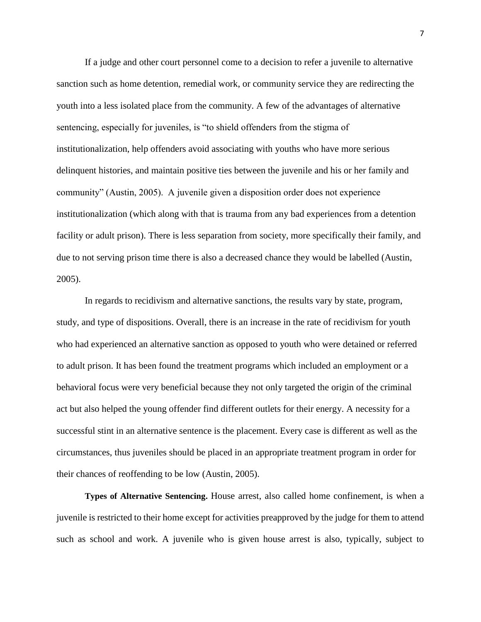If a judge and other court personnel come to a decision to refer a juvenile to alternative sanction such as home detention, remedial work, or community service they are redirecting the youth into a less isolated place from the community. A few of the advantages of alternative sentencing, especially for juveniles, is "to shield offenders from the stigma of institutionalization, help offenders avoid associating with youths who have more serious delinquent histories, and maintain positive ties between the juvenile and his or her family and community" (Austin, 2005). A juvenile given a disposition order does not experience institutionalization (which along with that is trauma from any bad experiences from a detention facility or adult prison). There is less separation from society, more specifically their family, and due to not serving prison time there is also a decreased chance they would be labelled (Austin, 2005).

In regards to recidivism and alternative sanctions, the results vary by state, program, study, and type of dispositions. Overall, there is an increase in the rate of recidivism for youth who had experienced an alternative sanction as opposed to youth who were detained or referred to adult prison. It has been found the treatment programs which included an employment or a behavioral focus were very beneficial because they not only targeted the origin of the criminal act but also helped the young offender find different outlets for their energy. A necessity for a successful stint in an alternative sentence is the placement. Every case is different as well as the circumstances, thus juveniles should be placed in an appropriate treatment program in order for their chances of reoffending to be low (Austin, 2005).

**Types of Alternative Sentencing.** House arrest, also called home confinement, is when a juvenile is restricted to their home except for activities preapproved by the judge for them to attend such as school and work. A juvenile who is given house arrest is also, typically, subject to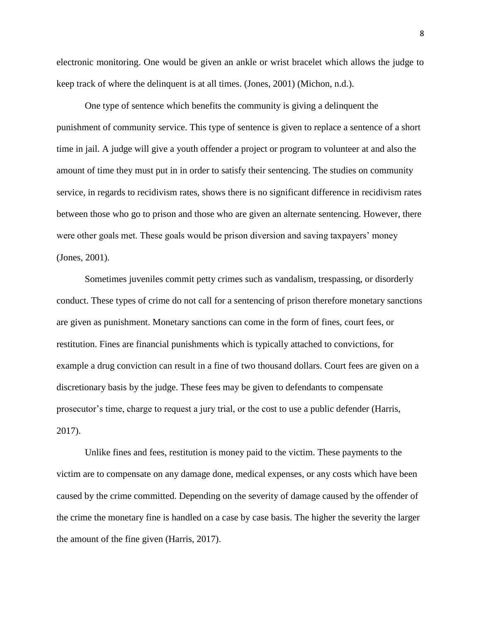electronic monitoring. One would be given an ankle or wrist bracelet which allows the judge to keep track of where the delinquent is at all times. (Jones, 2001) (Michon, n.d.).

One type of sentence which benefits the community is giving a delinquent the punishment of community service. This type of sentence is given to replace a sentence of a short time in jail. A judge will give a youth offender a project or program to volunteer at and also the amount of time they must put in in order to satisfy their sentencing. The studies on community service, in regards to recidivism rates, shows there is no significant difference in recidivism rates between those who go to prison and those who are given an alternate sentencing. However, there were other goals met. These goals would be prison diversion and saving taxpayers' money (Jones, 2001).

Sometimes juveniles commit petty crimes such as vandalism, trespassing, or disorderly conduct. These types of crime do not call for a sentencing of prison therefore monetary sanctions are given as punishment. Monetary sanctions can come in the form of fines, court fees, or restitution. Fines are financial punishments which is typically attached to convictions, for example a drug conviction can result in a fine of two thousand dollars. Court fees are given on a discretionary basis by the judge. These fees may be given to defendants to compensate prosecutor's time, charge to request a jury trial, or the cost to use a public defender (Harris, 2017).

Unlike fines and fees, restitution is money paid to the victim. These payments to the victim are to compensate on any damage done, medical expenses, or any costs which have been caused by the crime committed. Depending on the severity of damage caused by the offender of the crime the monetary fine is handled on a case by case basis. The higher the severity the larger the amount of the fine given (Harris, 2017).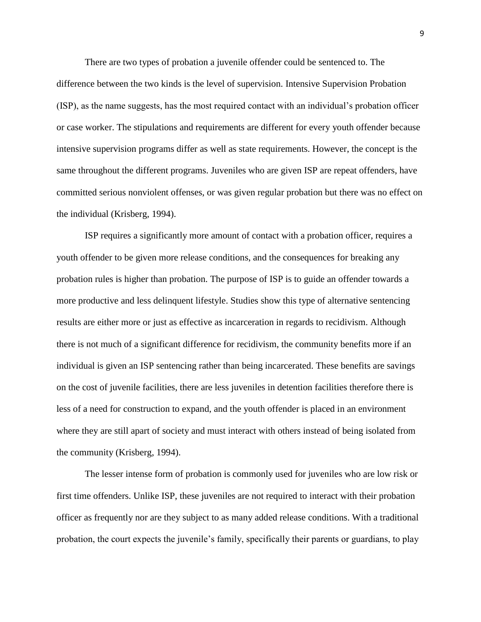There are two types of probation a juvenile offender could be sentenced to. The difference between the two kinds is the level of supervision. Intensive Supervision Probation (ISP), as the name suggests, has the most required contact with an individual's probation officer or case worker. The stipulations and requirements are different for every youth offender because intensive supervision programs differ as well as state requirements. However, the concept is the same throughout the different programs. Juveniles who are given ISP are repeat offenders, have committed serious nonviolent offenses, or was given regular probation but there was no effect on the individual (Krisberg, 1994).

ISP requires a significantly more amount of contact with a probation officer, requires a youth offender to be given more release conditions, and the consequences for breaking any probation rules is higher than probation. The purpose of ISP is to guide an offender towards a more productive and less delinquent lifestyle. Studies show this type of alternative sentencing results are either more or just as effective as incarceration in regards to recidivism. Although there is not much of a significant difference for recidivism, the community benefits more if an individual is given an ISP sentencing rather than being incarcerated. These benefits are savings on the cost of juvenile facilities, there are less juveniles in detention facilities therefore there is less of a need for construction to expand, and the youth offender is placed in an environment where they are still apart of society and must interact with others instead of being isolated from the community (Krisberg, 1994).

The lesser intense form of probation is commonly used for juveniles who are low risk or first time offenders. Unlike ISP, these juveniles are not required to interact with their probation officer as frequently nor are they subject to as many added release conditions. With a traditional probation, the court expects the juvenile's family, specifically their parents or guardians, to play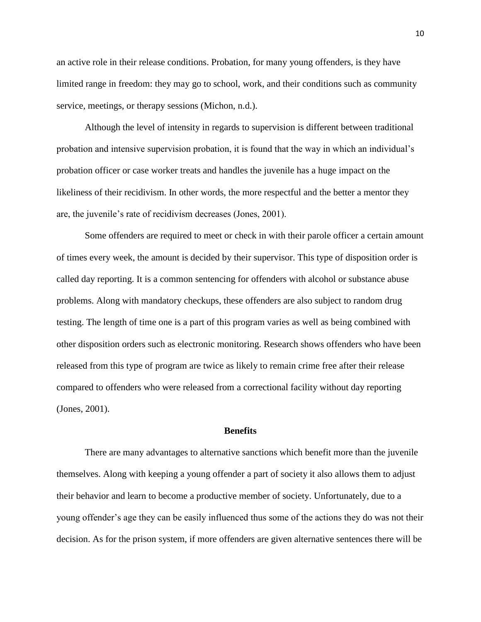an active role in their release conditions. Probation, for many young offenders, is they have limited range in freedom: they may go to school, work, and their conditions such as community service, meetings, or therapy sessions (Michon, n.d.).

Although the level of intensity in regards to supervision is different between traditional probation and intensive supervision probation, it is found that the way in which an individual's probation officer or case worker treats and handles the juvenile has a huge impact on the likeliness of their recidivism. In other words, the more respectful and the better a mentor they are, the juvenile's rate of recidivism decreases (Jones, 2001).

Some offenders are required to meet or check in with their parole officer a certain amount of times every week, the amount is decided by their supervisor. This type of disposition order is called day reporting. It is a common sentencing for offenders with alcohol or substance abuse problems. Along with mandatory checkups, these offenders are also subject to random drug testing. The length of time one is a part of this program varies as well as being combined with other disposition orders such as electronic monitoring. Research shows offenders who have been released from this type of program are twice as likely to remain crime free after their release compared to offenders who were released from a correctional facility without day reporting (Jones, 2001).

#### **Benefits**

There are many advantages to alternative sanctions which benefit more than the juvenile themselves. Along with keeping a young offender a part of society it also allows them to adjust their behavior and learn to become a productive member of society. Unfortunately, due to a young offender's age they can be easily influenced thus some of the actions they do was not their decision. As for the prison system, if more offenders are given alternative sentences there will be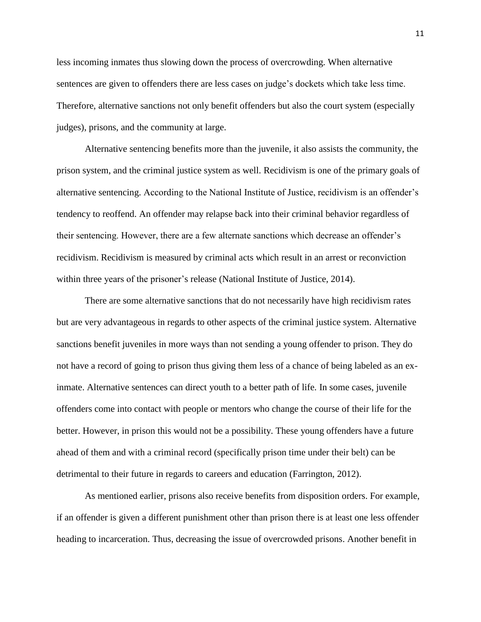less incoming inmates thus slowing down the process of overcrowding. When alternative sentences are given to offenders there are less cases on judge's dockets which take less time. Therefore, alternative sanctions not only benefit offenders but also the court system (especially judges), prisons, and the community at large.

Alternative sentencing benefits more than the juvenile, it also assists the community, the prison system, and the criminal justice system as well. Recidivism is one of the primary goals of alternative sentencing. According to the National Institute of Justice, recidivism is an offender's tendency to reoffend. An offender may relapse back into their criminal behavior regardless of their sentencing. However, there are a few alternate sanctions which decrease an offender's recidivism. Recidivism is measured by criminal acts which result in an arrest or reconviction within three years of the prisoner's release (National Institute of Justice, 2014).

There are some alternative sanctions that do not necessarily have high recidivism rates but are very advantageous in regards to other aspects of the criminal justice system. Alternative sanctions benefit juveniles in more ways than not sending a young offender to prison. They do not have a record of going to prison thus giving them less of a chance of being labeled as an exinmate. Alternative sentences can direct youth to a better path of life. In some cases, juvenile offenders come into contact with people or mentors who change the course of their life for the better. However, in prison this would not be a possibility. These young offenders have a future ahead of them and with a criminal record (specifically prison time under their belt) can be detrimental to their future in regards to careers and education (Farrington, 2012).

As mentioned earlier, prisons also receive benefits from disposition orders. For example, if an offender is given a different punishment other than prison there is at least one less offender heading to incarceration. Thus, decreasing the issue of overcrowded prisons. Another benefit in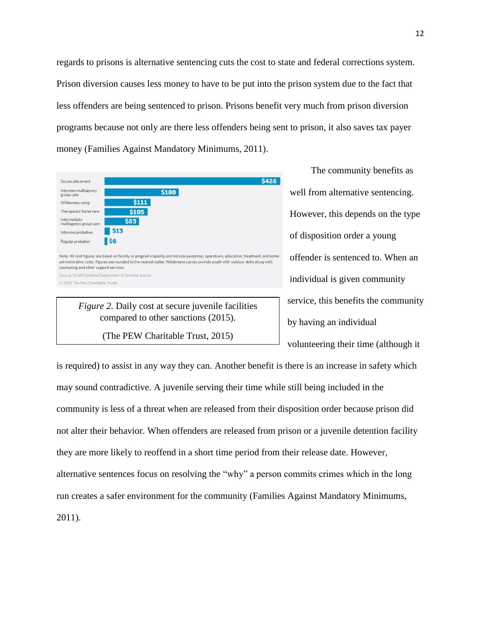regards to prisons is alternative sentencing cuts the cost to state and federal corrections system. Prison diversion causes less money to have to be put into the prison system due to the fact that less offenders are being sentenced to prison. Prisons benefit very much from prison diversion programs because not only are there less offenders being sent to prison, it also saves tax payer money (Families Against Mandatory Minimums, 2011).

| Secure placement                       | <b>\$426</b>                                                                                                                                                                                                                                                         |
|----------------------------------------|----------------------------------------------------------------------------------------------------------------------------------------------------------------------------------------------------------------------------------------------------------------------|
| Intensive multiagency<br>group care    | \$180                                                                                                                                                                                                                                                                |
| Wilderness camp                        | \$111                                                                                                                                                                                                                                                                |
| Therapeutic foster care                | \$105                                                                                                                                                                                                                                                                |
| Intermediate<br>multiagency group care | \$83                                                                                                                                                                                                                                                                 |
| Intensive probation                    | \$13                                                                                                                                                                                                                                                                 |
| Regular probation                      | I S6                                                                                                                                                                                                                                                                 |
| counseling and other support services. | Note: All cost figures are based on facility or program capacity and include personnel, operations, education, treatment, and some<br>administrative costs. Figures are rounded to the nearest dollar. Wilderness camps provide youth with outdoor skills along with |
|                                        | Source: South Carolina Department of Juvenile Justice                                                                                                                                                                                                                |
| C 2015 The Pew Charitable Trusts       |                                                                                                                                                                                                                                                                      |

*Figure 2.* Daily cost at secure juvenile facilities compared to other sanctions (2015).

(The PEW Charitable Trust, 2015)

The community benefits as well from alternative sentencing. However, this depends on the type of disposition order a young offender is sentenced to. When an individual is given community service, this benefits the community by having an individual volunteering their time (although it

is required) to assist in any way they can. Another benefit is there is an increase in safety which may sound contradictive. A juvenile serving their time while still being included in the community is less of a threat when are released from their disposition order because prison did not alter their behavior. When offenders are released from prison or a juvenile detention facility they are more likely to reoffend in a short time period from their release date. However, alternative sentences focus on resolving the "why" a person commits crimes which in the long run creates a safer environment for the community (Families Against Mandatory Minimums, 2011).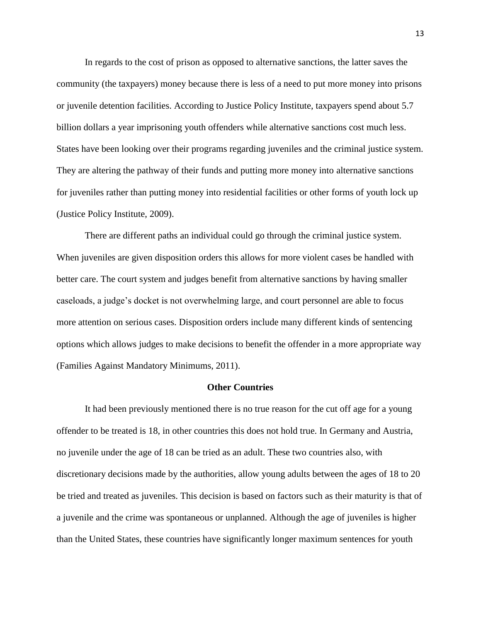In regards to the cost of prison as opposed to alternative sanctions, the latter saves the community (the taxpayers) money because there is less of a need to put more money into prisons or juvenile detention facilities. According to Justice Policy Institute, taxpayers spend about 5.7 billion dollars a year imprisoning youth offenders while alternative sanctions cost much less. States have been looking over their programs regarding juveniles and the criminal justice system. They are altering the pathway of their funds and putting more money into alternative sanctions for juveniles rather than putting money into residential facilities or other forms of youth lock up (Justice Policy Institute, 2009).

There are different paths an individual could go through the criminal justice system. When juveniles are given disposition orders this allows for more violent cases be handled with better care. The court system and judges benefit from alternative sanctions by having smaller caseloads, a judge's docket is not overwhelming large, and court personnel are able to focus more attention on serious cases. Disposition orders include many different kinds of sentencing options which allows judges to make decisions to benefit the offender in a more appropriate way (Families Against Mandatory Minimums, 2011).

#### **Other Countries**

It had been previously mentioned there is no true reason for the cut off age for a young offender to be treated is 18, in other countries this does not hold true. In Germany and Austria, no juvenile under the age of 18 can be tried as an adult. These two countries also, with discretionary decisions made by the authorities, allow young adults between the ages of 18 to 20 be tried and treated as juveniles. This decision is based on factors such as their maturity is that of a juvenile and the crime was spontaneous or unplanned. Although the age of juveniles is higher than the United States, these countries have significantly longer maximum sentences for youth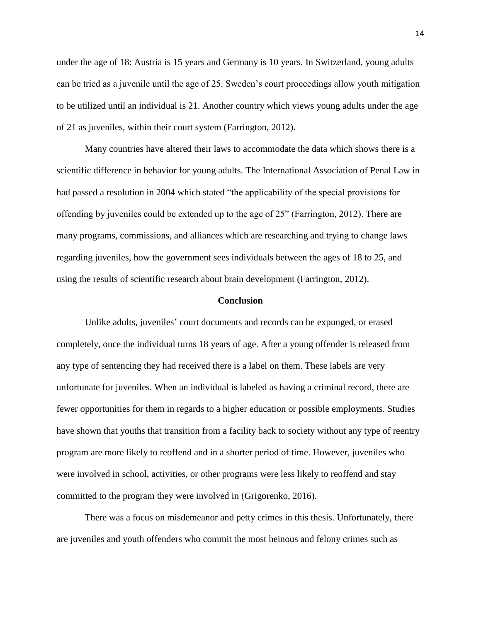under the age of 18: Austria is 15 years and Germany is 10 years. In Switzerland, young adults can be tried as a juvenile until the age of 25. Sweden's court proceedings allow youth mitigation to be utilized until an individual is 21. Another country which views young adults under the age of 21 as juveniles, within their court system (Farrington, 2012).

Many countries have altered their laws to accommodate the data which shows there is a scientific difference in behavior for young adults. The International Association of Penal Law in had passed a resolution in 2004 which stated "the applicability of the special provisions for offending by juveniles could be extended up to the age of 25" (Farrington, 2012). There are many programs, commissions, and alliances which are researching and trying to change laws regarding juveniles, how the government sees individuals between the ages of 18 to 25, and using the results of scientific research about brain development (Farrington, 2012).

#### **Conclusion**

Unlike adults, juveniles' court documents and records can be expunged, or erased completely, once the individual turns 18 years of age. After a young offender is released from any type of sentencing they had received there is a label on them. These labels are very unfortunate for juveniles. When an individual is labeled as having a criminal record, there are fewer opportunities for them in regards to a higher education or possible employments. Studies have shown that youths that transition from a facility back to society without any type of reentry program are more likely to reoffend and in a shorter period of time. However, juveniles who were involved in school, activities, or other programs were less likely to reoffend and stay committed to the program they were involved in (Grigorenko, 2016).

There was a focus on misdemeanor and petty crimes in this thesis. Unfortunately, there are juveniles and youth offenders who commit the most heinous and felony crimes such as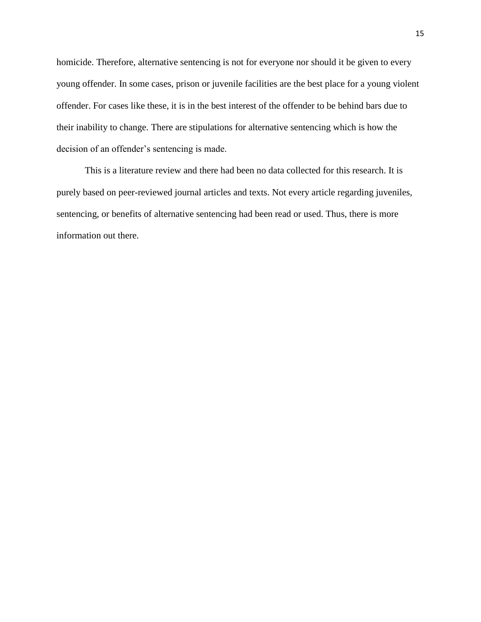homicide. Therefore, alternative sentencing is not for everyone nor should it be given to every young offender. In some cases, prison or juvenile facilities are the best place for a young violent offender. For cases like these, it is in the best interest of the offender to be behind bars due to their inability to change. There are stipulations for alternative sentencing which is how the decision of an offender's sentencing is made.

This is a literature review and there had been no data collected for this research. It is purely based on peer-reviewed journal articles and texts. Not every article regarding juveniles, sentencing, or benefits of alternative sentencing had been read or used. Thus, there is more information out there.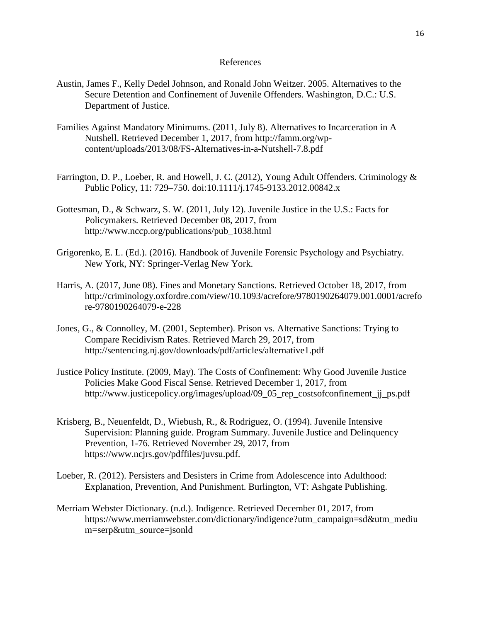### References

- Austin, James F., Kelly Dedel Johnson, and Ronald John Weitzer. 2005. Alternatives to the Secure Detention and Confinement of Juvenile Offenders. Washington, D.C.: U.S. Department of Justice.
- Families Against Mandatory Minimums. (2011, July 8). Alternatives to Incarceration in A Nutshell. Retrieved December 1, 2017, from http://famm.org/wpcontent/uploads/2013/08/FS-Alternatives-in-a-Nutshell-7.8.pdf
- Farrington, D. P., Loeber, R. and Howell, J. C. (2012), Young Adult Offenders. Criminology & Public Policy, 11: 729–750. doi:10.1111/j.1745-9133.2012.00842.x
- Gottesman, D., & Schwarz, S. W. (2011, July 12). Juvenile Justice in the U.S.: Facts for Policymakers. Retrieved December 08, 2017, from http://www.nccp.org/publications/pub\_1038.html
- Grigorenko, E. L. (Ed.). (2016). Handbook of Juvenile Forensic Psychology and Psychiatry. New York, NY: Springer-Verlag New York.
- Harris, A. (2017, June 08). Fines and Monetary Sanctions. Retrieved October 18, 2017, from http://criminology.oxfordre.com/view/10.1093/acrefore/9780190264079.001.0001/acrefo re-9780190264079-e-228
- Jones, G., & Connolley, M. (2001, September). Prison vs. Alternative Sanctions: Trying to Compare Recidivism Rates. Retrieved March 29, 2017, from <http://sentencing.nj.gov/downloads/pdf/articles/alternative1.pdf>
- Justice Policy Institute. (2009, May). The Costs of Confinement: Why Good Juvenile Justice Policies Make Good Fiscal Sense. Retrieved December 1, 2017, from http://www.justicepolicy.org/images/upload/09\_05\_rep\_costsofconfinement\_jj\_ps.pdf
- Krisberg, B., Neuenfeldt, D., Wiebush, R., & Rodriguez, O. (1994). Juvenile Intensive Supervision: Planning guide. Program Summary. Juvenile Justice and Delinquency Prevention, 1-76. Retrieved November 29, 2017, from [https://www.ncjrs.gov/pdffiles/juvsu.pdf.](https://www.ncjrs.gov/pdffiles/juvsu.pdf)
- Loeber, R. (2012). Persisters and Desisters in Crime from Adolescence into Adulthood: Explanation, Prevention, And Punishment. Burlington, VT: Ashgate Publishing.
- Merriam Webster Dictionary. (n.d.). Indigence. Retrieved December 01, 2017, from https://www.merriamwebster.com/dictionary/indigence?utm\_campaign=sd&utm\_mediu m=serp&utm\_source=jsonld